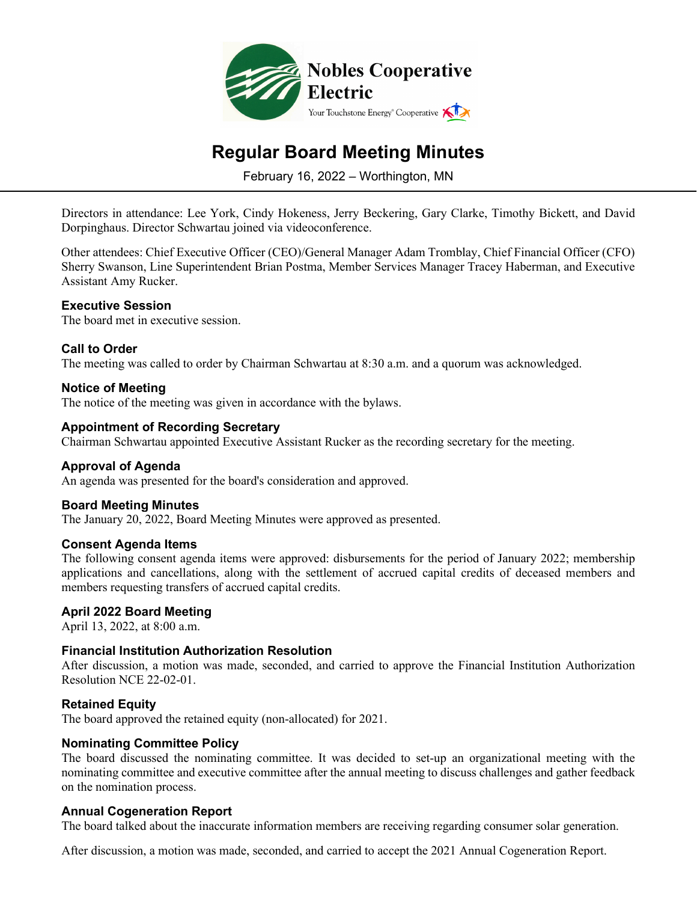

# **Regular Board Meeting Minutes**

February 16, 2022 – Worthington, MN

Directors in attendance: Lee York, Cindy Hokeness, Jerry Beckering, Gary Clarke, Timothy Bickett, and David Dorpinghaus. Director Schwartau joined via videoconference.

Other attendees: Chief Executive Officer (CEO)/General Manager Adam Tromblay, Chief Financial Officer (CFO) Sherry Swanson, Line Superintendent Brian Postma, Member Services Manager Tracey Haberman, and Executive Assistant Amy Rucker.

# **Executive Session**

The board met in executive session.

# **Call to Order**

The meeting was called to order by Chairman Schwartau at 8:30 a.m. and a quorum was acknowledged.

# **Notice of Meeting**

The notice of the meeting was given in accordance with the bylaws.

# **Appointment of Recording Secretary**

Chairman Schwartau appointed Executive Assistant Rucker as the recording secretary for the meeting.

#### **Approval of Agenda**

An agenda was presented for the board's consideration and approved.

#### **Board Meeting Minutes**

The January 20, 2022, Board Meeting Minutes were approved as presented.

#### **Consent Agenda Items**

The following consent agenda items were approved: disbursements for the period of January 2022; membership applications and cancellations, along with the settlement of accrued capital credits of deceased members and members requesting transfers of accrued capital credits.

#### **April 2022 Board Meeting**

April 13, 2022, at 8:00 a.m.

#### **Financial Institution Authorization Resolution**

After discussion, a motion was made, seconded, and carried to approve the Financial Institution Authorization Resolution NCE 22-02-01.

#### **Retained Equity**

The board approved the retained equity (non-allocated) for 2021.

#### **Nominating Committee Policy**

The board discussed the nominating committee. It was decided to set-up an organizational meeting with the nominating committee and executive committee after the annual meeting to discuss challenges and gather feedback on the nomination process.

#### **Annual Cogeneration Report**

The board talked about the inaccurate information members are receiving regarding consumer solar generation.

After discussion, a motion was made, seconded, and carried to accept the 2021 Annual Cogeneration Report.